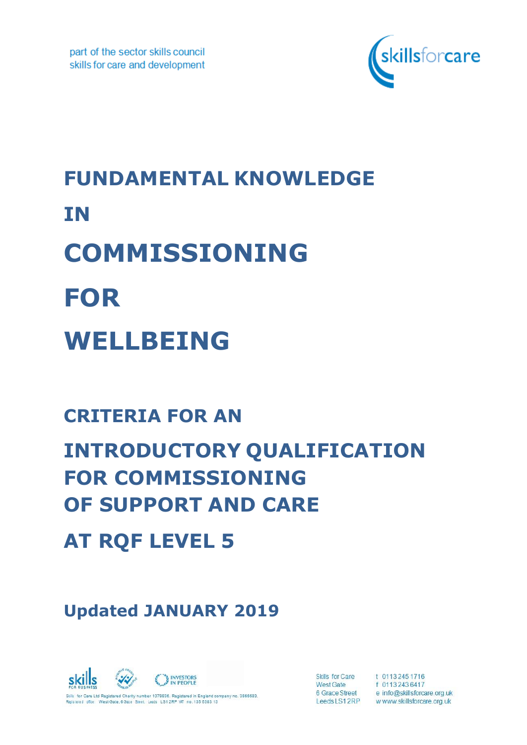

# **FUNDAMENTAL KNOWLEDGE IN COMMISSIONING FOR WELLBEING**

# **CRITERIA FOR AN**

# **INTRODUCTORY QUALIFICATION FOR COMMISSIONING OF SUPPORT AND CARE**

**AT RQF LEVEL 5**

**Updated JANUARY 2019**



Skills for Care **West Gate** 6 Grace Street Leeds LS12RP

t 0113 245 1716<br>f 0113 243 6417 e info@skillsforcare.org.uk w www.skillsforcare.org.uk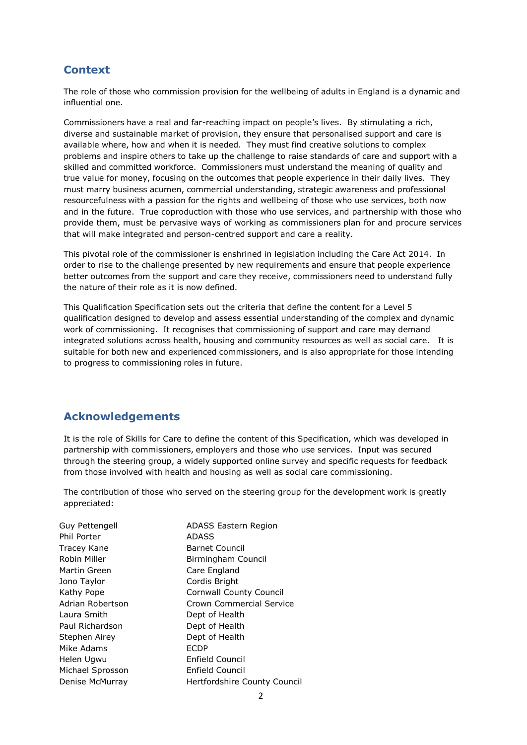### **Context**

The role of those who commission provision for the wellbeing of adults in England is a dynamic and influential one.

Commissioners have a real and far-reaching impact on people's lives. By stimulating a rich, diverse and sustainable market of provision, they ensure that personalised support and care is available where, how and when it is needed. They must find creative solutions to complex problems and inspire others to take up the challenge to raise standards of care and support with a skilled and committed workforce. Commissioners must understand the meaning of quality and true value for money, focusing on the outcomes that people experience in their daily lives. They must marry business acumen, commercial understanding, strategic awareness and professional resourcefulness with a passion for the rights and wellbeing of those who use services, both now and in the future. True coproduction with those who use services, and partnership with those who provide them, must be pervasive ways of working as commissioners plan for and procure services that will make integrated and person-centred support and care a reality.

This pivotal role of the commissioner is enshrined in legislation including the Care Act 2014. In order to rise to the challenge presented by new requirements and ensure that people experience better outcomes from the support and care they receive, commissioners need to understand fully the nature of their role as it is now defined.

This Qualification Specification sets out the criteria that define the content for a Level 5 qualification designed to develop and assess essential understanding of the complex and dynamic work of commissioning. It recognises that commissioning of support and care may demand integrated solutions across health, housing and community resources as well as social care. It is suitable for both new and experienced commissioners, and is also appropriate for those intending to progress to commissioning roles in future.

#### **Acknowledgements**

It is the role of Skills for Care to define the content of this Specification, which was developed in partnership with commissioners, employers and those who use services. Input was secured through the steering group, a widely supported online survey and specific requests for feedback from those involved with health and housing as well as social care commissioning.

The contribution of those who served on the steering group for the development work is greatly appreciated:

| Guy Pettengell   | <b>ADASS Eastern Region</b>    |
|------------------|--------------------------------|
| Phil Porter      | <b>ADASS</b>                   |
| Tracey Kane      | Barnet Council                 |
| Robin Miller     | Birmingham Council             |
| Martin Green     | Care England                   |
| Jono Taylor      | Cordis Bright                  |
| Kathy Pope       | <b>Cornwall County Council</b> |
| Adrian Robertson | Crown Commercial Service       |
| Laura Smith      | Dept of Health                 |
| Paul Richardson  | Dept of Health                 |
| Stephen Airey    | Dept of Health                 |
| Mike Adams       | <b>ECDP</b>                    |
| Helen Ugwu       | Enfield Council                |
| Michael Sprosson | Enfield Council                |
| Denise McMurray  | Hertfordshire County Council   |
|                  |                                |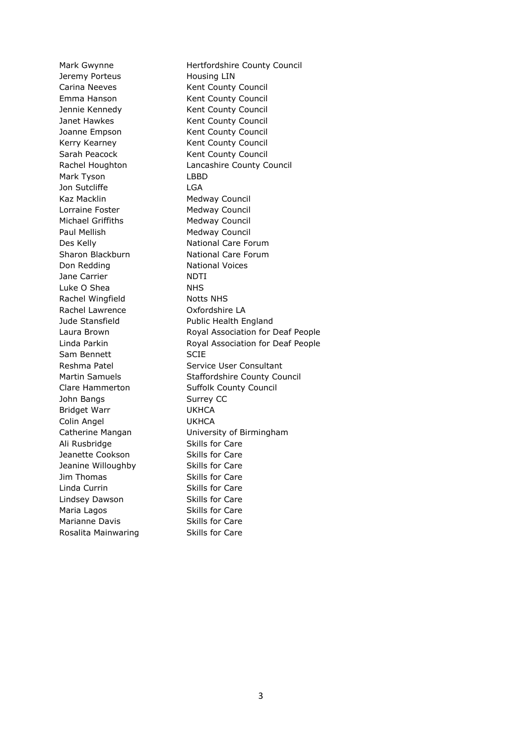Jeremy Porteus **Housing LIN** Mark Tyson LBBD Jon Sutcliffe LGA Kaz Macklin Medway Council Lorraine Foster Medway Council Michael Griffiths Medway Council Paul Mellish Medway Council Don Redding National Voices Jane Carrier NDTI Luke O Shea NHS Rachel Wingfield Notts NHS Rachel Lawrence Oxfordshire LA Sam Bennett SCIE John Bangs Surrey CC Bridget Warr UKHCA Colin Angel UKHCA Ali Rusbridge Skills for Care Jeanette Cookson Skills for Care Jeanine Willoughby Skills for Care Jim Thomas Skills for Care Linda Currin Skills for Care Lindsey Dawson Skills for Care Maria Lagos Skills for Care Marianne Davis **Skills for Care** Rosalita Mainwaring Skills for Care

Mark Gwynne **Hertfordshire County Council** Carina Neeves Kent County Council Emma Hanson Kent County Council Jennie Kennedy Kent County Council Janet Hawkes Kent County Council Joanne Empson Kent County Council Kerry Kearney **Kent County Council** Sarah Peacock Kent County Council Rachel Houghton Lancashire County Council Des Kelly **National Care Forum** Sharon Blackburn National Care Forum Jude Stansfield **Public Health England** Laura Brown **Royal Association for Deaf People** Linda Parkin Royal Association for Deaf People Reshma Patel Service User Consultant Martin Samuels Staffordshire County Council Clare Hammerton Suffolk County Council Catherine Mangan University of Birmingham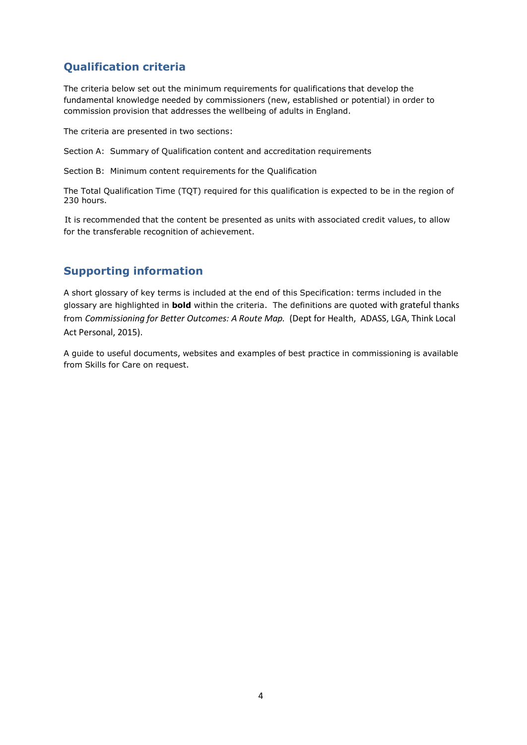# **Qualification criteria**

The criteria below set out the minimum requirements for qualifications that develop the fundamental knowledge needed by commissioners (new, established or potential) in order to commission provision that addresses the wellbeing of adults in England.

The criteria are presented in two sections:

Section A: Summary of Qualification content and accreditation requirements

Section B: Minimum content requirements for the Qualification

The Total Qualification Time (TQT) required for this qualification is expected to be in the region of 230 hours.

It is recommended that the content be presented as units with associated credit values, to allow for the transferable recognition of achievement.

### **Supporting information**

A short glossary of key terms is included at the end of this Specification: terms included in the glossary are highlighted in **bold** within the criteria. The definitions are quoted with grateful thanks from *Commissioning for Better Outcomes: A Route Map.* (Dept for Health, ADASS, LGA, Think Local Act Personal, 2015).

A guide to useful documents, websites and examples of best practice in commissioning is available from Skills for Care on request.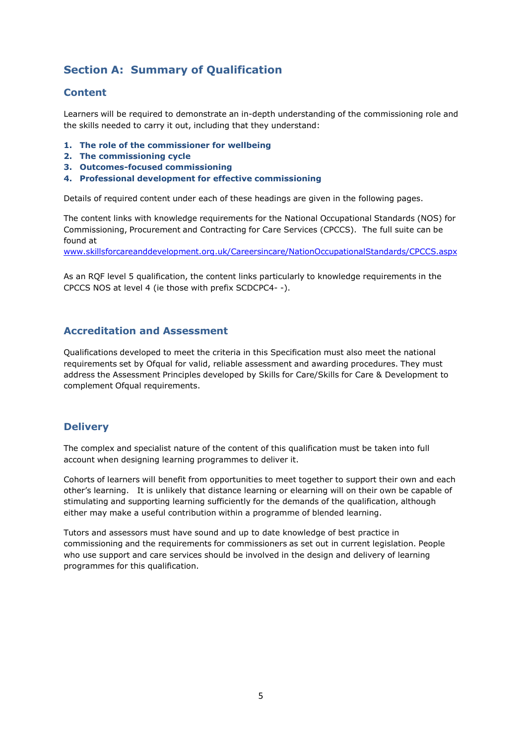## **Section A: Summary of Qualification**

#### **Content**

Learners will be required to demonstrate an in-depth understanding of the commissioning role and the skills needed to carry it out, including that they understand:

- **1. The role of the commissioner for wellbeing**
- **2. The commissioning cycle**
- **3. Outcomes-focused commissioning**
- **4. Professional development for effective commissioning**

Details of required content under each of these headings are given in the following pages.

The content links with knowledge requirements for the National Occupational Standards (NOS) for Commissioning, Procurement and Contracting for Care Services (CPCCS). The full suite can be found at

www.skillsforcareanddevelopment.org.uk/Careersincare/NationOccupationalStandards/CPCCS.aspx

As an RQF level 5 qualification, the content links particularly to knowledge requirements in the CPCCS NOS at level 4 (ie those with prefix SCDCPC4- -).

#### **Accreditation and Assessment**

Qualifications developed to meet the criteria in this Specification must also meet the national requirements set by Ofqual for valid, reliable assessment and awarding procedures. They must address the Assessment Principles developed by Skills for Care/Skills for Care & Development to complement Ofqual requirements.

#### **Delivery**

The complex and specialist nature of the content of this qualification must be taken into full account when designing learning programmes to deliver it.

Cohorts of learners will benefit from opportunities to meet together to support their own and each other's learning. It is unlikely that distance learning or elearning will on their own be capable of stimulating and supporting learning sufficiently for the demands of the qualification, although either may make a useful contribution within a programme of blended learning.

Tutors and assessors must have sound and up to date knowledge of best practice in commissioning and the requirements for commissioners as set out in current legislation. People who use support and care services should be involved in the design and delivery of learning programmes for this qualification.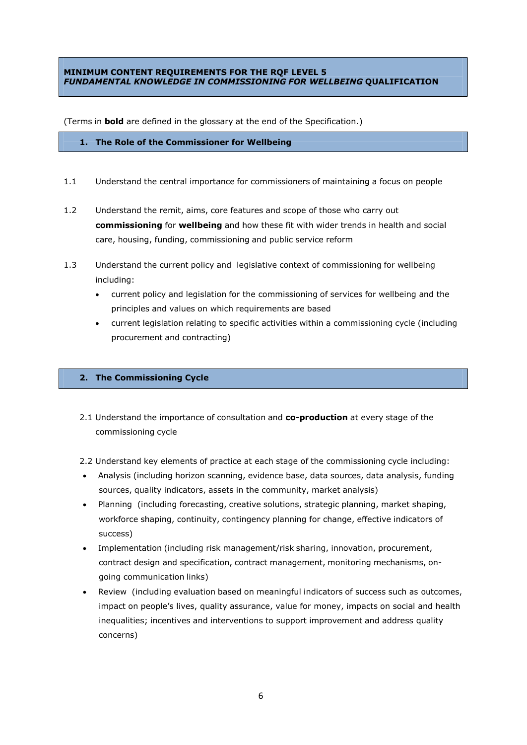#### **MINIMUM CONTENT REQUIREMENTS FOR THE RQF LEVEL 5** *FUNDAMENTAL KNOWLEDGE IN COMMISSIONING FOR WELLBEING* **QUALIFICATION**

(Terms in **bold** are defined in the glossary at the end of the Specification.)

#### **1. The Role of the Commissioner for Wellbeing**

- 1.1 Understand the central importance for commissioners of maintaining a focus on people
- 1.2 Understand the remit, aims, core features and scope of those who carry out **commissioning** for **wellbeing** and how these fit with wider trends in health and social care, housing, funding, commissioning and public service reform
- 1.3 Understand the current policy and legislative context of commissioning for wellbeing including:
	- current policy and legislation for the commissioning of services for wellbeing and the principles and values on which requirements are based
	- current legislation relating to specific activities within a commissioning cycle (including procurement and contracting)

#### **2. The Commissioning Cycle**

- 2.1 Understand the importance of consultation and **co-production** at every stage of the commissioning cycle
- 2.2 Understand key elements of practice at each stage of the commissioning cycle including:
- Analysis (including horizon scanning, evidence base, data sources, data analysis, funding sources, quality indicators, assets in the community, market analysis)
- Planning (including forecasting, creative solutions, strategic planning, market shaping, workforce shaping, continuity, contingency planning for change, effective indicators of success)
- Implementation (including risk management/risk sharing, innovation, procurement, contract design and specification, contract management, monitoring mechanisms, ongoing communication links)
- Review (including evaluation based on meaningful indicators of success such as outcomes, impact on people's lives, quality assurance, value for money, impacts on social and health inequalities; incentives and interventions to support improvement and address quality concerns)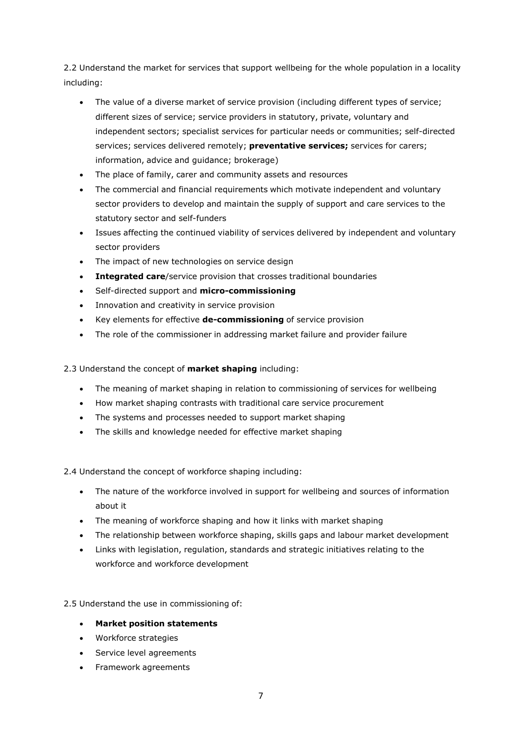2.2 Understand the market for services that support wellbeing for the whole population in a locality including:

- The value of a diverse market of service provision (including different types of service; different sizes of service; service providers in statutory, private, voluntary and independent sectors; specialist services for particular needs or communities; self-directed services; services delivered remotely; **preventative services;** services for carers; information, advice and guidance; brokerage)
- The place of family, carer and community assets and resources
- The commercial and financial requirements which motivate independent and voluntary sector providers to develop and maintain the supply of support and care services to the statutory sector and self-funders
- Issues affecting the continued viability of services delivered by independent and voluntary sector providers
- The impact of new technologies on service design
- **Integrated care**/service provision that crosses traditional boundaries
- Self-directed support and **micro-commissioning**
- Innovation and creativity in service provision
- Key elements for effective **de-commissioning** of service provision
- The role of the commissioner in addressing market failure and provider failure

#### 2.3 Understand the concept of **market shaping** including:

- The meaning of market shaping in relation to commissioning of services for wellbeing
- How market shaping contrasts with traditional care service procurement
- The systems and processes needed to support market shaping
- The skills and knowledge needed for effective market shaping

#### 2.4 Understand the concept of workforce shaping including:

- The nature of the workforce involved in support for wellbeing and sources of information about it
- The meaning of workforce shaping and how it links with market shaping
- The relationship between workforce shaping, skills gaps and labour market development
- Links with legislation, regulation, standards and strategic initiatives relating to the workforce and workforce development

#### 2.5 Understand the use in commissioning of:

#### **Market position statements**

- Workforce strategies
- Service level agreements
- Framework agreements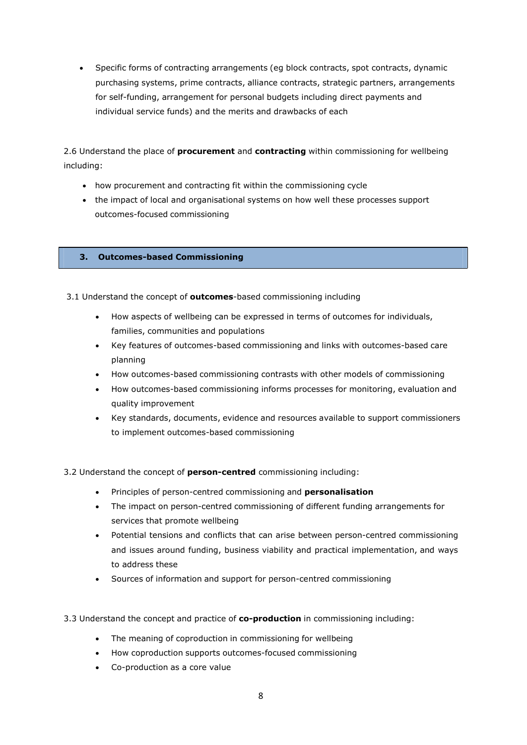Specific forms of contracting arrangements (eg block contracts, spot contracts, dynamic purchasing systems, prime contracts, alliance contracts, strategic partners, arrangements for self-funding, arrangement for personal budgets including direct payments and individual service funds) and the merits and drawbacks of each

2.6 Understand the place of **procurement** and **contracting** within commissioning for wellbeing including:

- how procurement and contracting fit within the commissioning cycle
- the impact of local and organisational systems on how well these processes support outcomes-focused commissioning

#### **3. Outcomes-based Commissioning**

3.1 Understand the concept of **outcomes**-based commissioning including

- How aspects of wellbeing can be expressed in terms of outcomes for individuals, families, communities and populations
- Key features of outcomes-based commissioning and links with outcomes-based care planning
- How outcomes-based commissioning contrasts with other models of commissioning
- How outcomes-based commissioning informs processes for monitoring, evaluation and quality improvement
- Key standards, documents, evidence and resources available to support commissioners to implement outcomes-based commissioning
- 3.2 Understand the concept of **person-centred** commissioning including:
	- Principles of person-centred commissioning and **personalisation**
	- The impact on person-centred commissioning of different funding arrangements for services that promote wellbeing
	- Potential tensions and conflicts that can arise between person-centred commissioning and issues around funding, business viability and practical implementation, and ways to address these
	- Sources of information and support for person-centred commissioning
- 3.3 Understand the concept and practice of **co-production** in commissioning including:
	- The meaning of coproduction in commissioning for wellbeing
	- How coproduction supports outcomes-focused commissioning
	- Co-production as a core value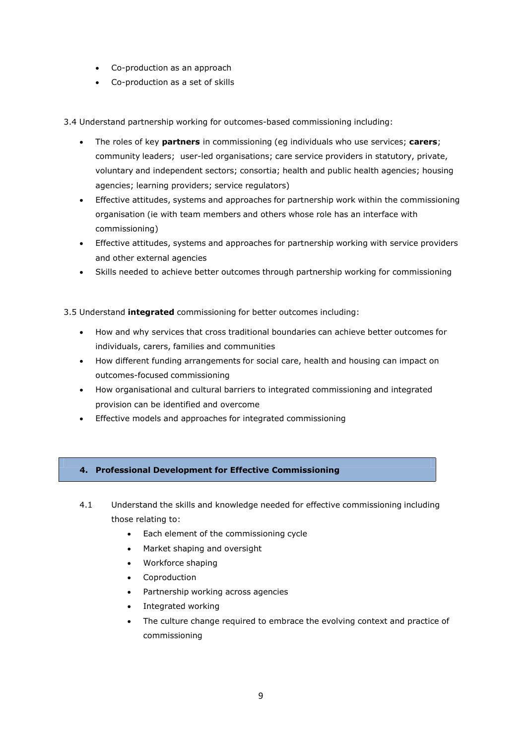- Co-production as an approach
- Co-production as a set of skills

3.4 Understand partnership working for outcomes-based commissioning including:

- The roles of key **partners** in commissioning (eg individuals who use services; **carers**; community leaders; user-led organisations; care service providers in statutory, private, voluntary and independent sectors; consortia; health and public health agencies; housing agencies; learning providers; service regulators)
- Effective attitudes, systems and approaches for partnership work within the commissioning organisation (ie with team members and others whose role has an interface with commissioning)
- Effective attitudes, systems and approaches for partnership working with service providers and other external agencies
- Skills needed to achieve better outcomes through partnership working for commissioning

3.5 Understand **integrated** commissioning for better outcomes including:

- How and why services that cross traditional boundaries can achieve better outcomes for individuals, carers, families and communities
- How different funding arrangements for social care, health and housing can impact on outcomes-focused commissioning
- How organisational and cultural barriers to integrated commissioning and integrated provision can be identified and overcome
- Effective models and approaches for integrated commissioning

#### **4. Professional Development for Effective Commissioning**

- 4.1 Understand the skills and knowledge needed for effective commissioning including those relating to:
	- Each element of the commissioning cycle
	- Market shaping and oversight
	- Workforce shaping
	- Coproduction
	- Partnership working across agencies
	- Integrated working
	- The culture change required to embrace the evolving context and practice of commissioning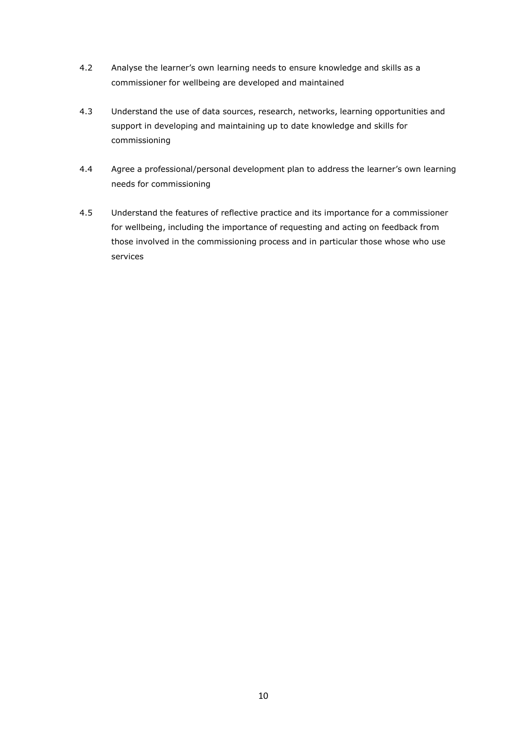- 4.2 Analyse the learner's own learning needs to ensure knowledge and skills as a commissioner for wellbeing are developed and maintained
- 4.3 Understand the use of data sources, research, networks, learning opportunities and support in developing and maintaining up to date knowledge and skills for commissioning
- 4.4 Agree a professional/personal development plan to address the learner's own learning needs for commissioning
- 4.5 Understand the features of reflective practice and its importance for a commissioner for wellbeing, including the importance of requesting and acting on feedback from those involved in the commissioning process and in particular those whose who use services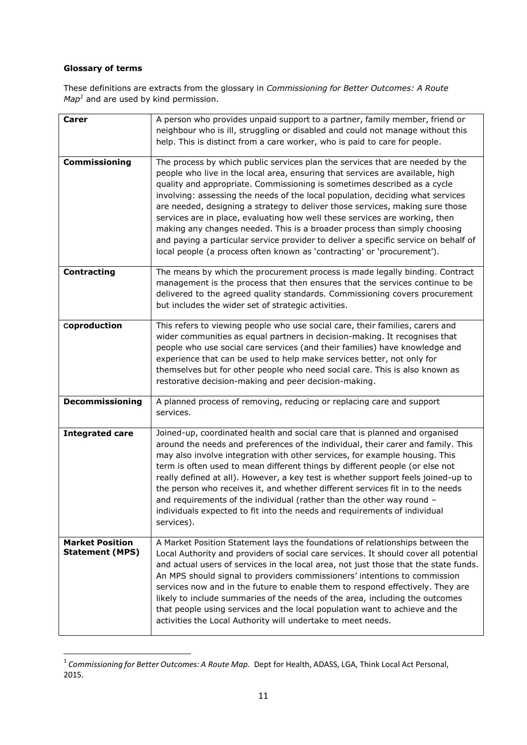#### **Glossary of terms**

These definitions are extracts from the glossary in *Commissioning for Better Outcomes: A Route Map <sup>1</sup>* and are used by kind permission.

| <b>Carer</b>           | A person who provides unpaid support to a partner, family member, friend or                                                                 |
|------------------------|---------------------------------------------------------------------------------------------------------------------------------------------|
|                        | neighbour who is ill, struggling or disabled and could not manage without this                                                              |
|                        | help. This is distinct from a care worker, who is paid to care for people.                                                                  |
|                        |                                                                                                                                             |
| Commissioning          | The process by which public services plan the services that are needed by the                                                               |
|                        | people who live in the local area, ensuring that services are available, high                                                               |
|                        | quality and appropriate. Commissioning is sometimes described as a cycle                                                                    |
|                        | involving: assessing the needs of the local population, deciding what services                                                              |
|                        | are needed, designing a strategy to deliver those services, making sure those                                                               |
|                        | services are in place, evaluating how well these services are working, then                                                                 |
|                        | making any changes needed. This is a broader process than simply choosing                                                                   |
|                        | and paying a particular service provider to deliver a specific service on behalf of                                                         |
|                        | local people (a process often known as 'contracting' or 'procurement').                                                                     |
|                        |                                                                                                                                             |
| <b>Contracting</b>     | The means by which the procurement process is made legally binding. Contract                                                                |
|                        | management is the process that then ensures that the services continue to be                                                                |
|                        | delivered to the agreed quality standards. Commissioning covers procurement                                                                 |
|                        | but includes the wider set of strategic activities.                                                                                         |
|                        |                                                                                                                                             |
| Coproduction           | This refers to viewing people who use social care, their families, carers and                                                               |
|                        | wider communities as equal partners in decision-making. It recognises that                                                                  |
|                        | people who use social care services (and their families) have knowledge and                                                                 |
|                        | experience that can be used to help make services better, not only for                                                                      |
|                        | themselves but for other people who need social care. This is also known as                                                                 |
|                        |                                                                                                                                             |
|                        |                                                                                                                                             |
|                        | restorative decision-making and peer decision-making.                                                                                       |
|                        |                                                                                                                                             |
| <b>Decommissioning</b> | A planned process of removing, reducing or replacing care and support                                                                       |
|                        | services.                                                                                                                                   |
| <b>Integrated care</b> | Joined-up, coordinated health and social care that is planned and organised                                                                 |
|                        |                                                                                                                                             |
|                        | around the needs and preferences of the individual, their carer and family. This                                                            |
|                        | may also involve integration with other services, for example housing. This                                                                 |
|                        | term is often used to mean different things by different people (or else not                                                                |
|                        | really defined at all). However, a key test is whether support feels joined-up to                                                           |
|                        | the person who receives it, and whether different services fit in to the needs                                                              |
|                        | and requirements of the individual (rather than the other way round -                                                                       |
|                        | individuals expected to fit into the needs and requirements of individual                                                                   |
|                        | services).                                                                                                                                  |
|                        |                                                                                                                                             |
| <b>Market Position</b> | A Market Position Statement lays the foundations of relationships between the                                                               |
| <b>Statement (MPS)</b> | Local Authority and providers of social care services. It should cover all potential                                                        |
|                        | and actual users of services in the local area, not just those that the state funds.                                                        |
|                        | An MPS should signal to providers commissioners' intentions to commission                                                                   |
|                        | services now and in the future to enable them to respond effectively. They are                                                              |
|                        | likely to include summaries of the needs of the area, including the outcomes                                                                |
|                        | that people using services and the local population want to achieve and the<br>activities the Local Authority will undertake to meet needs. |

<sup>1</sup> *Commissioning for Better Outcomes: A Route Map.* Dept for Health, ADASS, LGA, Think Local Act Personal, 2015.